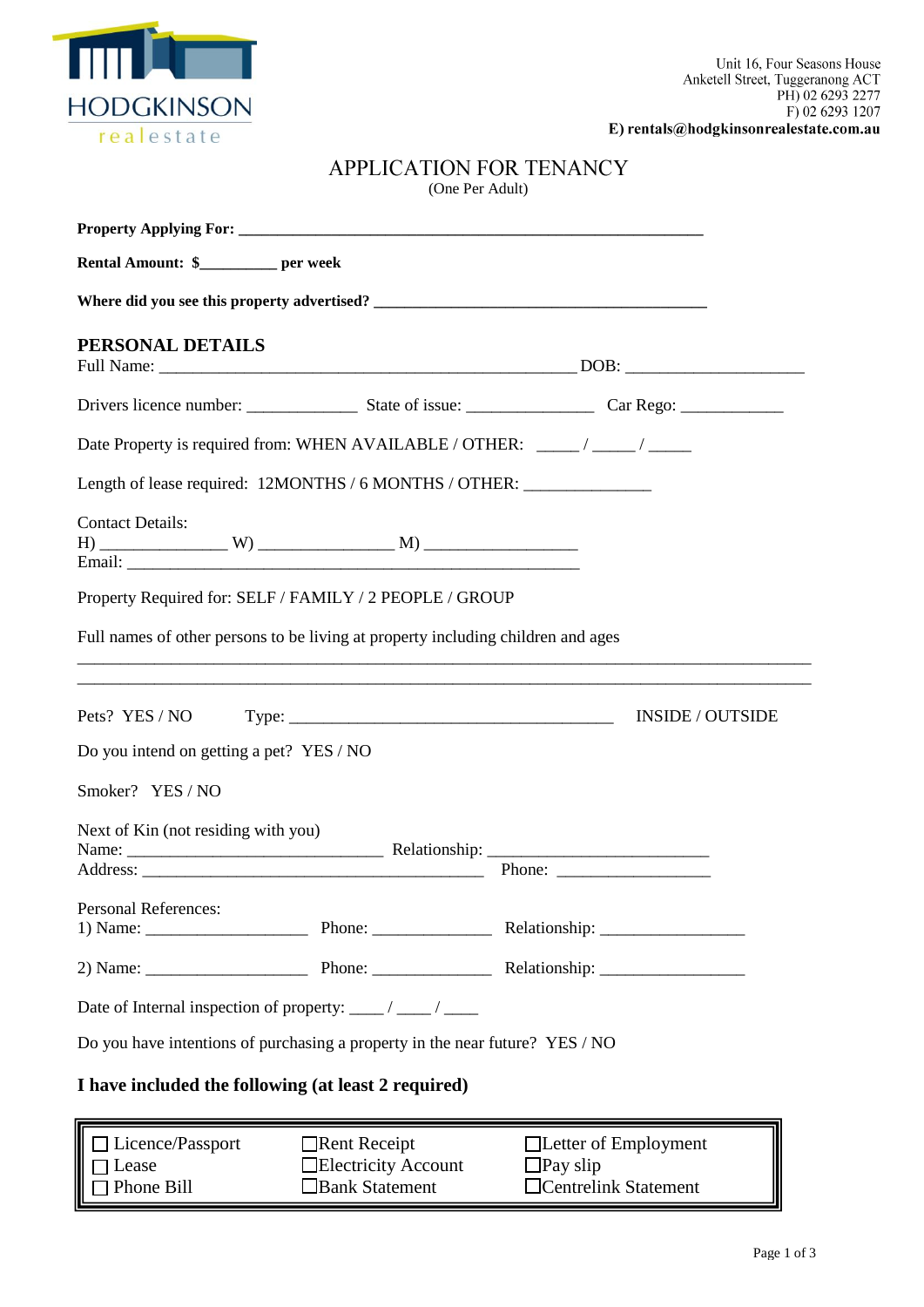

E) rentals@hodgkinsonrealestate.com.au

| <b>APPLICATION FOR TENANCY</b> |
|--------------------------------|
| (One Per Adult)                |

| Rental Amount: \$_________ per week                                                                                                                                                                                                                                                                                                                                                                                     |                             |
|-------------------------------------------------------------------------------------------------------------------------------------------------------------------------------------------------------------------------------------------------------------------------------------------------------------------------------------------------------------------------------------------------------------------------|-----------------------------|
|                                                                                                                                                                                                                                                                                                                                                                                                                         |                             |
| PERSONAL DETAILS                                                                                                                                                                                                                                                                                                                                                                                                        |                             |
|                                                                                                                                                                                                                                                                                                                                                                                                                         |                             |
| Date Property is required from: WHEN AVAILABLE / OTHER: _____ / _____ / _____                                                                                                                                                                                                                                                                                                                                           |                             |
| Length of lease required: 12MONTHS / 6 MONTHS / OTHER: __________________________                                                                                                                                                                                                                                                                                                                                       |                             |
| <b>Contact Details:</b>                                                                                                                                                                                                                                                                                                                                                                                                 |                             |
| Property Required for: SELF / FAMILY / 2 PEOPLE / GROUP                                                                                                                                                                                                                                                                                                                                                                 |                             |
| Full names of other persons to be living at property including children and ages                                                                                                                                                                                                                                                                                                                                        |                             |
|                                                                                                                                                                                                                                                                                                                                                                                                                         |                             |
|                                                                                                                                                                                                                                                                                                                                                                                                                         | <b>INSIDE / OUTSIDE</b>     |
| Do you intend on getting a pet? YES / NO                                                                                                                                                                                                                                                                                                                                                                                |                             |
| Smoker? YES / NO                                                                                                                                                                                                                                                                                                                                                                                                        |                             |
| Next of Kin (not residing with you)                                                                                                                                                                                                                                                                                                                                                                                     | Phone:                      |
| <b>Personal References:</b>                                                                                                                                                                                                                                                                                                                                                                                             |                             |
| 1) Name: $\frac{1}{\sqrt{1-\frac{1}{2}}}\frac{1}{\sqrt{1-\frac{1}{2}}}\frac{1}{\sqrt{1-\frac{1}{2}}}\frac{1}{\sqrt{1-\frac{1}{2}}}\frac{1}{\sqrt{1-\frac{1}{2}}}\frac{1}{\sqrt{1-\frac{1}{2}}}\frac{1}{\sqrt{1-\frac{1}{2}}}\frac{1}{\sqrt{1-\frac{1}{2}}}\frac{1}{\sqrt{1-\frac{1}{2}}}\frac{1}{\sqrt{1-\frac{1}{2}}}\frac{1}{\sqrt{1-\frac{1}{2}}}\frac{1}{\sqrt{1-\frac{1}{2}}}\frac{1}{\sqrt{1-\frac{1}{2}}}\frac{$ |                             |
|                                                                                                                                                                                                                                                                                                                                                                                                                         |                             |
| Date of Internal inspection of property: ____/ ____/ ____                                                                                                                                                                                                                                                                                                                                                               |                             |
| Do you have intentions of purchasing a property in the near future? YES / NO                                                                                                                                                                                                                                                                                                                                            |                             |
| I have included the following (at least 2 required)                                                                                                                                                                                                                                                                                                                                                                     |                             |
| Licence/Passport<br>Rent Receipt                                                                                                                                                                                                                                                                                                                                                                                        | $\Box$ Letter of Employment |

| $\Box$ Licence/Passport | $\Box$ Rent Receipt        | $\Box$ Letter of Employment |
|-------------------------|----------------------------|-----------------------------|
| $\Box$ Lease            | $\Box$ Electricity Account | $\Box$ Pay slip             |
| $\Box$ Phone Bill       | $\Box$ Bank Statement      | $\Box$ Centrelink Statement |
|                         |                            |                             |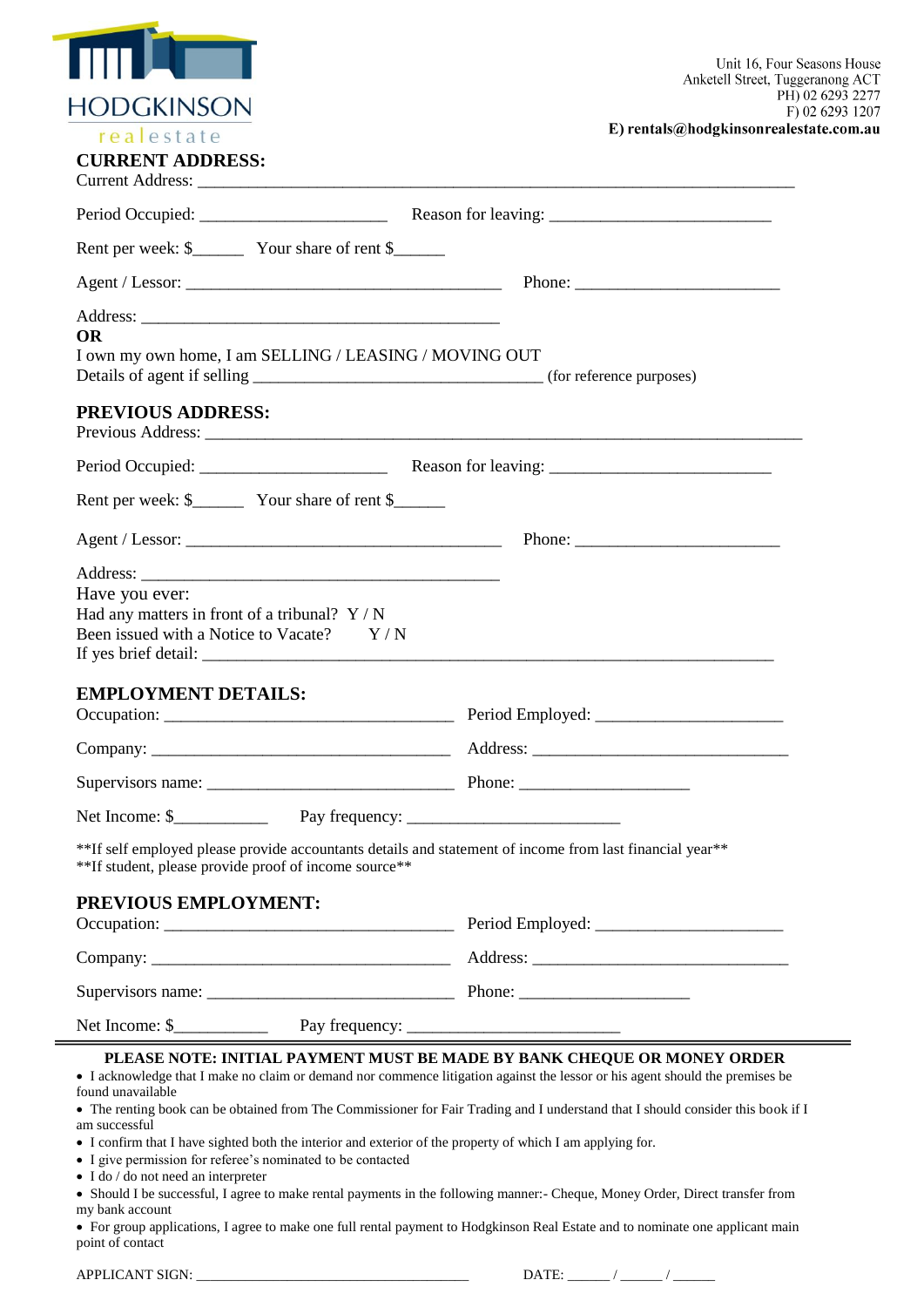|                                                                                                                                                                                                                 | Unit 16, Four Seasons House<br>Anketell Street, Tuggeranong ACT                                                                                                                                                                                                                                                                              |  |  |
|-----------------------------------------------------------------------------------------------------------------------------------------------------------------------------------------------------------------|----------------------------------------------------------------------------------------------------------------------------------------------------------------------------------------------------------------------------------------------------------------------------------------------------------------------------------------------|--|--|
| <b>HODGKINSON</b>                                                                                                                                                                                               | PH) 02 6293 2277<br>F) 02 6293 1207                                                                                                                                                                                                                                                                                                          |  |  |
| realestate<br><b>CURRENT ADDRESS:</b>                                                                                                                                                                           | E) rentals@hodgkinsonrealestate.com.au                                                                                                                                                                                                                                                                                                       |  |  |
|                                                                                                                                                                                                                 |                                                                                                                                                                                                                                                                                                                                              |  |  |
|                                                                                                                                                                                                                 |                                                                                                                                                                                                                                                                                                                                              |  |  |
|                                                                                                                                                                                                                 |                                                                                                                                                                                                                                                                                                                                              |  |  |
|                                                                                                                                                                                                                 |                                                                                                                                                                                                                                                                                                                                              |  |  |
| <b>OR</b><br>I own my own home, I am SELLING / LEASING / MOVING OUT                                                                                                                                             |                                                                                                                                                                                                                                                                                                                                              |  |  |
| <b>PREVIOUS ADDRESS:</b>                                                                                                                                                                                        |                                                                                                                                                                                                                                                                                                                                              |  |  |
|                                                                                                                                                                                                                 |                                                                                                                                                                                                                                                                                                                                              |  |  |
|                                                                                                                                                                                                                 |                                                                                                                                                                                                                                                                                                                                              |  |  |
|                                                                                                                                                                                                                 |                                                                                                                                                                                                                                                                                                                                              |  |  |
|                                                                                                                                                                                                                 |                                                                                                                                                                                                                                                                                                                                              |  |  |
| Have you ever:<br>Had any matters in front of a tribunal? $Y/N$<br>Been issued with a Notice to Vacate? Y/N                                                                                                     |                                                                                                                                                                                                                                                                                                                                              |  |  |
| <b>EMPLOYMENT DETAILS:</b>                                                                                                                                                                                      |                                                                                                                                                                                                                                                                                                                                              |  |  |
|                                                                                                                                                                                                                 |                                                                                                                                                                                                                                                                                                                                              |  |  |
|                                                                                                                                                                                                                 |                                                                                                                                                                                                                                                                                                                                              |  |  |
|                                                                                                                                                                                                                 |                                                                                                                                                                                                                                                                                                                                              |  |  |
| **If self employed please provide accountants details and statement of income from last financial year**<br>**If student, please provide proof of income source**                                               |                                                                                                                                                                                                                                                                                                                                              |  |  |
| PREVIOUS EMPLOYMENT:                                                                                                                                                                                            |                                                                                                                                                                                                                                                                                                                                              |  |  |
|                                                                                                                                                                                                                 |                                                                                                                                                                                                                                                                                                                                              |  |  |
|                                                                                                                                                                                                                 |                                                                                                                                                                                                                                                                                                                                              |  |  |
|                                                                                                                                                                                                                 |                                                                                                                                                                                                                                                                                                                                              |  |  |
| found unavailable<br>am successful<br>• I confirm that I have sighted both the interior and exterior of the property of which I am applying for.<br>• I give permission for referee's nominated to be contacted | PLEASE NOTE: INITIAL PAYMENT MUST BE MADE BY BANK CHEQUE OR MONEY ORDER<br>• I acknowledge that I make no claim or demand nor commence litigation against the lessor or his agent should the premises be<br>• The renting book can be obtained from The Commissioner for Fair Trading and I understand that I should consider this book if I |  |  |
| $\bullet$ I do / do not need an interpreter<br>my bank account                                                                                                                                                  | • Should I be successful, I agree to make rental payments in the following manner:- Cheque, Money Order, Direct transfer from<br>• For group applications, I agree to make one full rental payment to Hodgkinson Real Estate and to nominate one applicant main                                                                              |  |  |

point of contact

APPLICANT SIGN: \_\_\_\_\_\_\_\_\_\_\_\_\_\_\_\_\_\_\_\_\_\_\_\_\_\_\_\_\_\_\_\_\_\_\_\_\_\_\_ DATE: \_\_\_\_\_\_ / \_\_\_\_\_\_ / \_\_\_\_\_\_